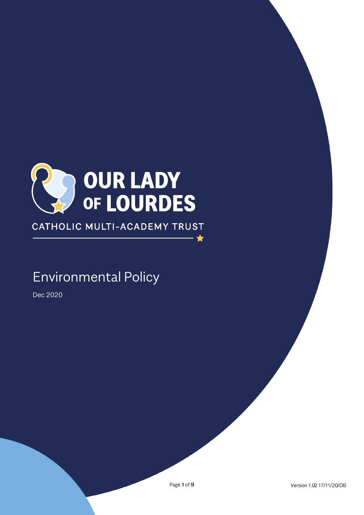

CATHOLIC MULTI-ACADEMY TRUST

# **Environmental Policy**

Dec 2020

 $\bigstar$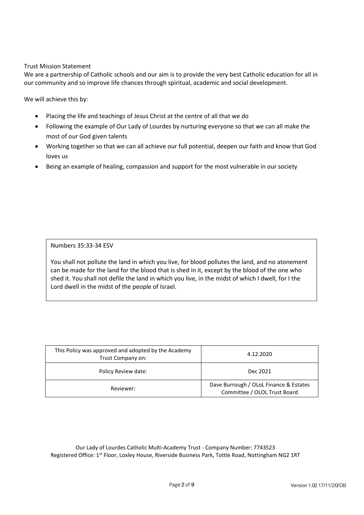#### Trust Mission Statement

We are a partnership of Catholic schools and our aim is to provide the very best Catholic education for all in our community and so improve life chances through spiritual, academic and social development.

We will achieve this by:

- Placing the life and teachings of Jesus Christ at the centre of all that we do
- Following the example of Our Lady of Lourdes by nurturing everyone so that we can all make the most of our God given talents
- Working together so that we can all achieve our full potential, deepen our faith and know that God loves us
- Being an example of healing, compassion and support for the most vulnerable in our society

Numbers 35:33-34 ESV

You shall not pollute the land in which you live, for blood pollutes the land, and no atonement can be made for the land for the blood that is shed in it, except by the blood of the one who shed it. You shall not defile the land in which you live, in the midst of which I dwell, for I the Lord dwell in the midst of the people of Israel.

| This Policy was approved and adopted by the Academy<br>Trust Company on: | 4.12.2020<br>Dec 2021<br>Dave Burrough / OLoL Finance & Estates<br>Committee / OLOL Trust Board |  |
|--------------------------------------------------------------------------|-------------------------------------------------------------------------------------------------|--|
| Policy Review date:                                                      |                                                                                                 |  |
| Reviewer:                                                                |                                                                                                 |  |

Our Lady of Lourdes Catholic Multi-Academy Trust - Company Number: 7743523 Registered Office: 1<sup>st</sup> Floor, Loxley House, Riverside Business Park, Tottle Road, Nottingham NG2 1RT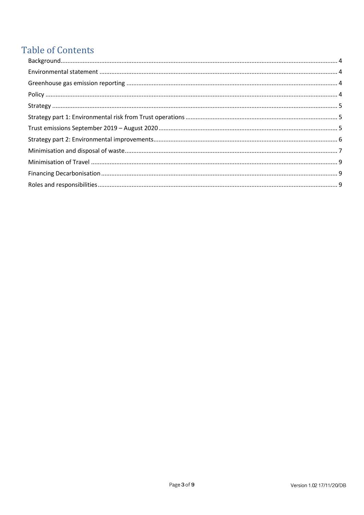# **Table of Contents**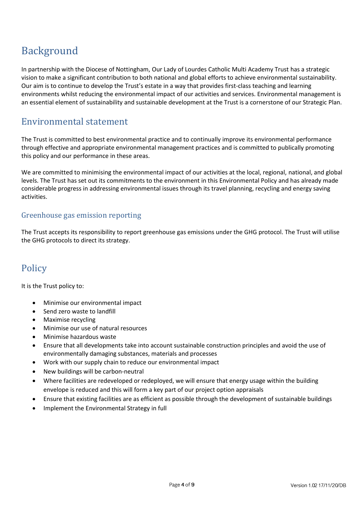# <span id="page-3-0"></span>Background

In partnership with the Diocese of Nottingham, Our Lady of Lourdes Catholic Multi Academy Trust has a strategic vision to make a significant contribution to both national and global efforts to achieve environmental sustainability. Our aim is to continue to develop the Trust's estate in a way that provides first-class teaching and learning environments whilst reducing the environmental impact of our activities and services. Environmental management is an essential element of sustainability and sustainable development at the Trust is a cornerstone of our Strategic Plan.

# <span id="page-3-1"></span>Environmental statement

The Trust is committed to best environmental practice and to continually improve its environmental performance through effective and appropriate environmental management practices and is committed to publically promoting this policy and our performance in these areas.

We are committed to minimising the environmental impact of our activities at the local, regional, national, and global levels. The Trust has set out its commitments to the environment in this Environmental Policy and has already made considerable progress in addressing environmental issues through its travel planning, recycling and energy saving activities.

## <span id="page-3-2"></span>Greenhouse gas emission reporting

The Trust accepts its responsibility to report greenhouse gas emissions under the GHG protocol. The Trust will utilise the GHG protocols to direct its strategy.

# <span id="page-3-3"></span>Policy

It is the Trust policy to:

- Minimise our environmental impact
- Send zero waste to landfill
- Maximise recycling
- Minimise our use of natural resources
- Minimise hazardous waste
- Ensure that all developments take into account sustainable construction principles and avoid the use of environmentally damaging substances, materials and processes
- Work with our supply chain to reduce our environmental impact
- New buildings will be carbon-neutral
- Where facilities are redeveloped or redeployed, we will ensure that energy usage within the building envelope is reduced and this will form a key part of our project option appraisals
- Ensure that existing facilities are as efficient as possible through the development of sustainable buildings
- Implement the Environmental Strategy in full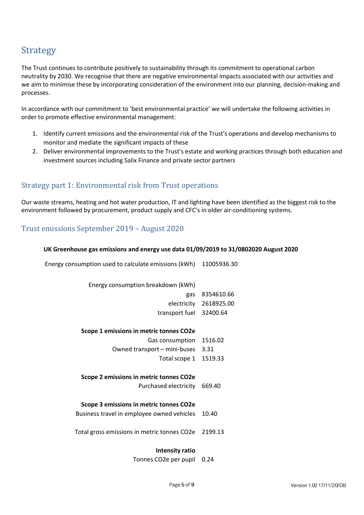# <span id="page-4-0"></span>**Strategy**

The Trust continues to contribute positively to sustainability through its commitment to operational carbon neutrality by 2030. We recognise that there are negative environmental impacts associated with our activities and we aim to minimise these by incorporating consideration of the environment into our planning, decision-making and processes.

In accordance with our commitment to 'best environmental practice' we will undertake the following activities in order to promote effective environmental management:

- 1. Identify current emissions and the environmental risk of the Trust's operations and develop mechanisms to monitor and mediate the significant impacts of these
- 2. Deliver environmental improvements to the Trust's estate and working practices through both education and investment sources including Salix Finance and private sector partners

## <span id="page-4-1"></span>Strategy part 1: Environmental risk from Trust operations

Our waste streams, heating and hot water production, IT and lighting have been identified as the biggest risk to the environment followed by procurement, product supply and CFC's in older air-conditioning systems.

## <span id="page-4-2"></span>Trust emissions September 2019 – August 2020

#### **UK Greenhouse gas emissions and energy use data 01/09/2019 to 31/0802020 August 2020**

Energy consumption used to calculate emissions (kWh) 11005936.30

| Energy consumption breakdown (kWh)          |            |
|---------------------------------------------|------------|
| gas                                         | 8354610.66 |
| electricity                                 | 2618925.00 |
| transport fuel                              | 32400.64   |
|                                             |            |
| Scope 1 emissions in metric tonnes CO2e     |            |
| Gas consumption                             | 1516.02    |
| Owned transport – mini-buses                | 3.31       |
| Total scope 1                               | 1519.33    |
|                                             |            |
| Scope 2 emissions in metric tonnes CO2e     |            |
| Purchased electricity                       | 669.40     |
|                                             |            |
| Scope 3 emissions in metric tonnes CO2e     |            |
| Business travel in employee owned vehicles  | 10.40      |
|                                             |            |
| Total gross emissions in metric tonnes CO2e | 2199.13    |
|                                             |            |
| Intensity ratio                             |            |
|                                             |            |

Tonnes CO2e per pupil 0.24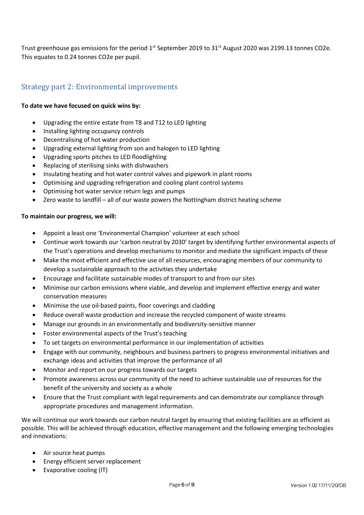Trust greenhouse gas emissions for the period 1<sup>st</sup> September 2019 to 31<sup>st</sup> August 2020 was 2199.13 tonnes CO2e. This equates to 0.24 tonnes CO2e per pupil.

## <span id="page-5-0"></span>Strategy part 2: Environmental improvements

#### **To date we have focused on quick wins by:**

- Upgrading the entire estate from T8 and T12 to LED lighting
- Installing lighting occupancy controls
- Decentralising of hot water production
- Upgrading external lighting from son and halogen to LED lighting
- Upgrading sports pitches to LED floodlighting
- Replacing of sterilising sinks with dishwashers
- Insulating heating and hot water control valves and pipework in plant rooms
- Optimising and upgrading refrigeration and cooling plant control systems
- Optimising hot water service return legs and pumps
- Zero waste to landfill all of our waste powers the Nottingham district heating scheme

#### **To maintain our progress, we will:**

- Appoint a least one 'Environmental Champion' volunteer at each school
- Continue work towards our 'carbon neutral by 2030' target by identifying further environmental aspects of the Trust's operations and develop mechanisms to monitor and mediate the significant impacts of these
- Make the most efficient and effective use of all resources, encouraging members of our community to develop a sustainable approach to the activities they undertake
- Encourage and facilitate sustainable modes of transport to and from our sites
- Minimise our carbon emissions where viable, and develop and implement effective energy and water conservation measures
- Minimise the use oil-based paints, floor coverings and cladding
- Reduce overall waste production and increase the recycled component of waste streams
- Manage our grounds in an environmentally and biodiversity-sensitive manner
- Foster environmental aspects of the Trust's teaching
- To set targets on environmental performance in our implementation of activities
- Engage with our community, neighbours and business partners to progress environmental initiatives and exchange ideas and activities that improve the performance of all
- Monitor and report on our progress towards our targets
- Promote awareness across our community of the need to achieve sustainable use of resources for the benefit of the university and society as a whole
- Ensure that the Trust compliant with legal requirements and can demonstrate our compliance through appropriate procedures and management information.

We will continue our work towards our carbon neutral target by ensuring that existing facilities are as efficient as possible. This will be achieved through education, effective management and the following emerging technologies and innovations:

- Air source heat pumps
- Energy efficient server replacement
- Evaporative cooling (IT)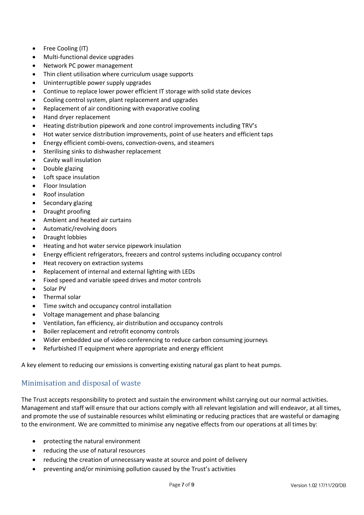- Free Cooling (IT)
- Multi-functional device upgrades
- Network PC power management
- Thin client utilisation where curriculum usage supports
- Uninterruptible power supply upgrades
- Continue to replace lower power efficient IT storage with solid state devices
- Cooling control system, plant replacement and upgrades
- Replacement of air conditioning with evaporative cooling
- Hand dryer replacement
- Heating distribution pipework and zone control improvements including TRV's
- Hot water service distribution improvements, point of use heaters and efficient taps
- Energy efficient combi-ovens, convection-ovens, and steamers
- Sterilising sinks to dishwasher replacement
- Cavity wall insulation
- Double glazing
- Loft space insulation
- Floor Insulation
- Roof insulation
- Secondary glazing
- Draught proofing
- Ambient and heated air curtains
- Automatic/revolving doors
- Draught lobbies
- Heating and hot water service pipework insulation
- Energy efficient refrigerators, freezers and control systems including occupancy control
- Heat recovery on extraction systems
- Replacement of internal and external lighting with LEDs
- Fixed speed and variable speed drives and motor controls
- Solar PV
- Thermal solar
- Time switch and occupancy control installation
- Voltage management and phase balancing
- Ventilation, fan efficiency, air distribution and occupancy controls
- Boiler replacement and retrofit economy controls
- Wider embedded use of video conferencing to reduce carbon consuming journeys
- Refurbished IT equipment where appropriate and energy efficient

A key element to reducing our emissions is converting existing natural gas plant to heat pumps.

## <span id="page-6-0"></span>Minimisation and disposal of waste

The Trust accepts responsibility to protect and sustain the environment whilst carrying out our normal activities. Management and staff will ensure that our actions comply with all relevant legislation and will endeavor, at all times, and promote the use of sustainable resources whilst eliminating or reducing practices that are wasteful or damaging to the environment. We are committed to minimise any negative effects from our operations at all times by:

- protecting the natural environment
- reducing the use of natural resources
- reducing the creation of unnecessary waste at source and point of delivery
- preventing and/or minimising pollution caused by the Trust's activities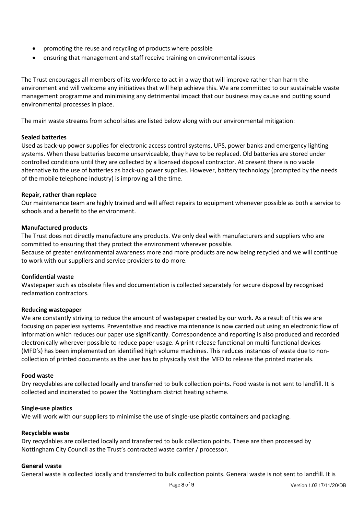- promoting the reuse and recycling of products where possible
- ensuring that management and staff receive training on environmental issues

The Trust encourages all members of its workforce to act in a way that will improve rather than harm the environment and will welcome any initiatives that will help achieve this. We are committed to our sustainable waste management programme and minimising any detrimental impact that our business may cause and putting sound environmental processes in place.

The main waste streams from school sites are listed below along with our environmental mitigation:

#### **Sealed batteries**

Used as back-up power supplies for electronic access control systems, UPS, power banks and emergency lighting systems. When these batteries become unserviceable, they have to be replaced. Old batteries are stored under controlled conditions until they are collected by a licensed disposal contractor. At present there is no viable alternative to the use of batteries as back-up power supplies. However, battery technology (prompted by the needs of the mobile telephone industry) is improving all the time.

#### **Repair, rather than replace**

Our maintenance team are highly trained and will affect repairs to equipment whenever possible as both a service to schools and a benefit to the environment.

#### **Manufactured products**

The Trust does not directly manufacture any products. We only deal with manufacturers and suppliers who are committed to ensuring that they protect the environment wherever possible.

Because of greater environmental awareness more and more products are now being recycled and we will continue to work with our suppliers and service providers to do more.

#### **Confidential waste**

Wastepaper such as obsolete files and documentation is collected separately for secure disposal by recognised reclamation contractors.

#### **Reducing wastepaper**

We are constantly striving to reduce the amount of wastepaper created by our work. As a result of this we are focusing on paperless systems. Preventative and reactive maintenance is now carried out using an electronic flow of information which reduces our paper use significantly. Correspondence and reporting is also produced and recorded electronically wherever possible to reduce paper usage. A print-release functional on multi-functional devices (MFD's) has been implemented on identified high volume machines. This reduces instances of waste due to noncollection of printed documents as the user has to physically visit the MFD to release the printed materials.

#### **Food waste**

Dry recyclables are collected locally and transferred to bulk collection points. Food waste is not sent to landfill. It is collected and incinerated to power the Nottingham district heating scheme.

#### **Single-use plastics**

We will work with our suppliers to minimise the use of single-use plastic containers and packaging.

#### **Recyclable waste**

Dry recyclables are collected locally and transferred to bulk collection points. These are then processed by Nottingham City Council as the Trust's contracted waste carrier / processor.

#### **General waste**

General waste is collected locally and transferred to bulk collection points. General waste is not sent to landfill. It is